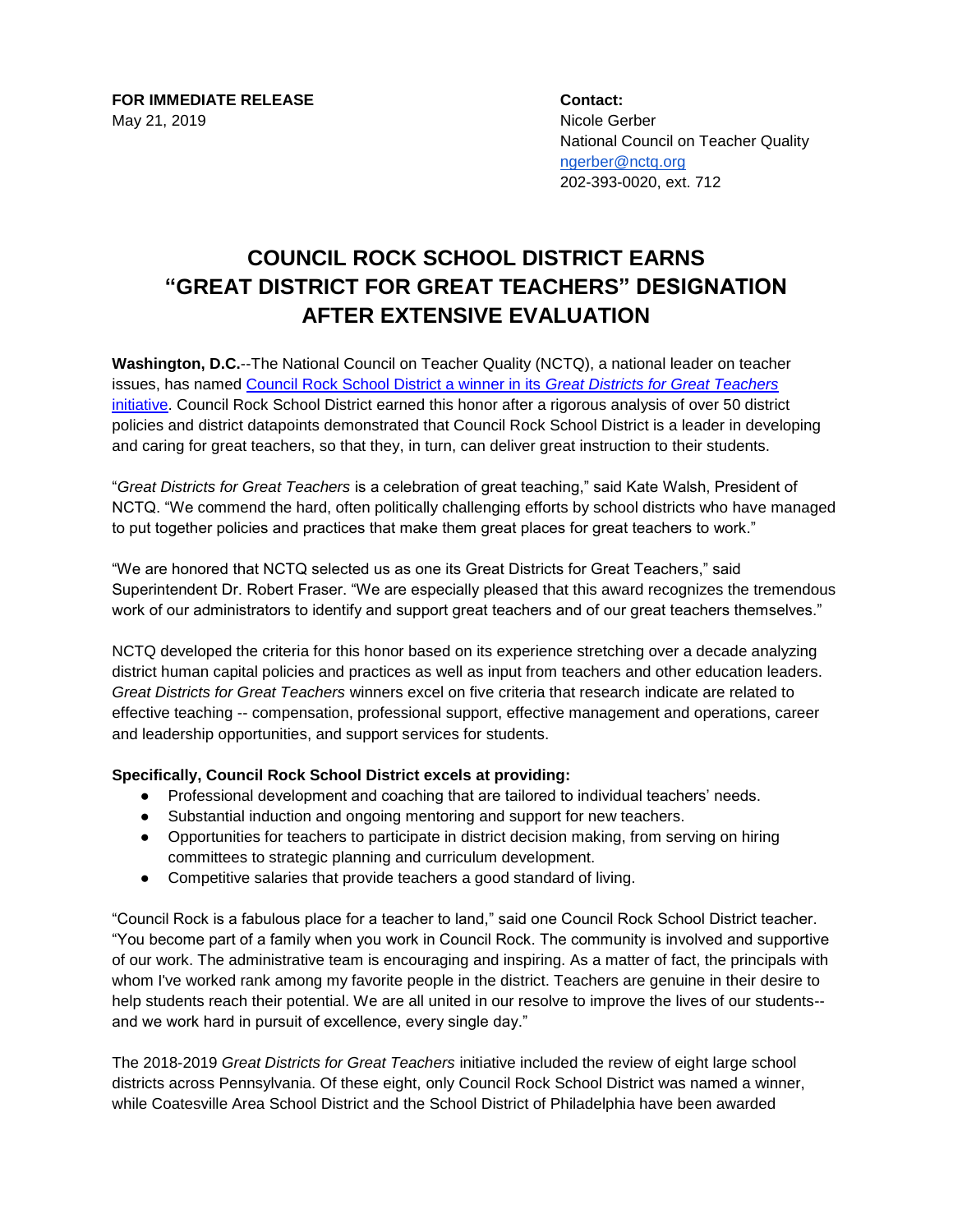**FOR IMMEDIATE RELEASE Contact:** May 21, 2019 Nicole Gerber

National Council on Teacher Quality [ngerber@nctq.org](mailto:ngerber@nctq.org) 202-393-0020, ext. 712

## **COUNCIL ROCK SCHOOL DISTRICT EARNS "GREAT DISTRICT FOR GREAT TEACHERS" DESIGNATION AFTER EXTENSIVE EVALUATION**

**Washington, D.C.**--The National Council on Teacher Quality (NCTQ), a national leader on teacher issues, has named [Council Rock School District a winner in its](http://greatdistricts.org/district/winners.do?winnerFlag=true&id=22#slide-22) *Great Districts for Great Teachers* [initiative.](http://greatdistricts.org/district/winners.do?winnerFlag=true&id=22#slide-22) Council Rock School District earned this honor after a rigorous analysis of over 50 district policies and district datapoints demonstrated that Council Rock School District is a leader in developing and caring for great teachers, so that they, in turn, can deliver great instruction to their students.

"*Great Districts for Great Teachers* is a celebration of great teaching," said Kate Walsh, President of NCTQ. "We commend the hard, often politically challenging efforts by school districts who have managed to put together policies and practices that make them great places for great teachers to work."

"We are honored that NCTQ selected us as one its Great Districts for Great Teachers," said Superintendent Dr. Robert Fraser. "We are especially pleased that this award recognizes the tremendous work of our administrators to identify and support great teachers and of our great teachers themselves."

NCTQ developed the criteria for this honor based on its experience stretching over a decade analyzing district human capital policies and practices as well as input from teachers and other education leaders. *Great Districts for Great Teachers* winners excel on five criteria that research indicate are related to effective teaching -- compensation, professional support, effective management and operations, career and leadership opportunities, and support services for students.

## **Specifically, Council Rock School District excels at providing:**

- Professional development and coaching that are tailored to individual teachers' needs.
- Substantial induction and ongoing mentoring and support for new teachers.
- Opportunities for teachers to participate in district decision making, from serving on hiring committees to strategic planning and curriculum development.
- Competitive salaries that provide teachers a good standard of living.

"Council Rock is a fabulous place for a teacher to land," said one Council Rock School District teacher. "You become part of a family when you work in Council Rock. The community is involved and supportive of our work. The administrative team is encouraging and inspiring. As a matter of fact, the principals with whom I've worked rank among my favorite people in the district. Teachers are genuine in their desire to help students reach their potential. We are all united in our resolve to improve the lives of our students- and we work hard in pursuit of excellence, every single day."

The 2018-2019 *Great Districts for Great Teachers* initiative included the review of eight large school districts across Pennsylvania. Of these eight, only Council Rock School District was named a winner, while Coatesville Area School District and the School District of Philadelphia have been awarded